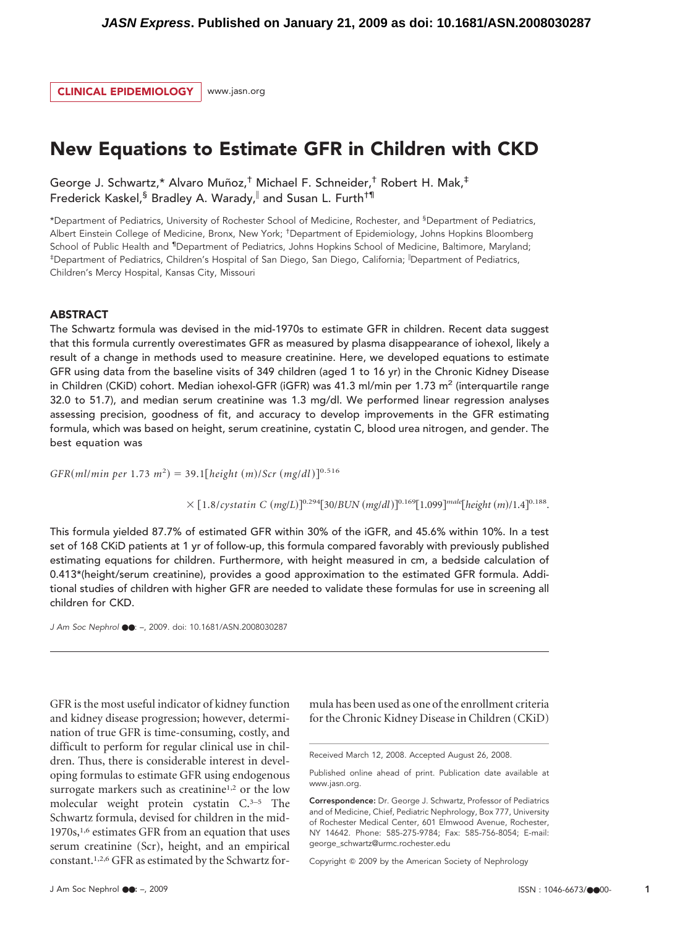CLINICAL EPIDEMIOLOGY | www.jasn.org

# New Equations to Estimate GFR in Children with CKD

George J. Schwartz,\* Alvaro Muñoz,<sup>†</sup> Michael F. Schneider,<sup>†</sup> Robert H. Mak,<sup>‡</sup> Frederick Kaskel,<sup>§</sup> Bradley A. Warady,<sup>||</sup> and Susan L. Furth<sup>†¶</sup>

\*Department of Pediatrics, University of Rochester School of Medicine, Rochester, and § Department of Pediatrics, Albert Einstein College of Medicine, Bronx, New York; † Department of Epidemiology, Johns Hopkins Bloomberg School of Public Health and <sup>1</sup>Department of Pediatrics, Johns Hopkins School of Medicine, Baltimore, Maryland; ‡ Department of Pediatrics, Children's Hospital of San Diego, San Diego, California; Department of Pediatrics, Children's Mercy Hospital, Kansas City, Missouri

## **ABSTRACT**

The Schwartz formula was devised in the mid-1970s to estimate GFR in children. Recent data suggest that this formula currently overestimates GFR as measured by plasma disappearance of iohexol, likely a result of a change in methods used to measure creatinine. Here, we developed equations to estimate GFR using data from the baseline visits of 349 children (aged 1 to 16 yr) in the Chronic Kidney Disease in Children (CKiD) cohort. Median iohexol-GFR (iGFR) was 41.3 ml/min per 1.73 m<sup>2</sup> (interquartile range 32.0 to 51.7), and median serum creatinine was 1.3 mg/dl. We performed linear regression analyses assessing precision, goodness of fit, and accuracy to develop improvements in the GFR estimating formula, which was based on height, serum creatinine, cystatin C, blood urea nitrogen, and gender. The best equation was

 $GFR(m/lmin per 1.73 m<sup>2</sup>) = 39.1[height (m)/Scr (mg/dl)]<sup>0.516</sup>$ 

 $\times$  [1.8/*cystatin C* (*mg*/*L*)]<sup>0.294</sup>[30/*BUN* (*mg*/*dl*)]<sup>0.169</sup>[1.099]<sup>*male*</sup>[height (*m*)/1.4]<sup>0.188</sup>.

This formula yielded 87.7% of estimated GFR within 30% of the iGFR, and 45.6% within 10%. In a test set of 168 CKiD patients at 1 yr of follow-up, this formula compared favorably with previously published estimating equations for children. Furthermore, with height measured in cm, a bedside calculation of 0.413\*(height/serum creatinine), provides a good approximation to the estimated GFR formula. Additional studies of children with higher GFR are needed to validate these formulas for use in screening all children for CKD.

*J Am Soc Nephrol* ●●: –, 2009. doi: 10.1681/ASN.2008030287

GFR is the most useful indicator of kidney function and kidney disease progression; however, determination of true GFR is time-consuming, costly, and difficult to perform for regular clinical use in children. Thus, there is considerable interest in developing formulas to estimate GFR using endogenous surrogate markers such as creatinine<sup>1,2</sup> or the low molecular weight protein cystatin C.3–5 The Schwartz formula, devised for children in the mid-1970s,<sup>1,6</sup> estimates GFR from an equation that uses serum creatinine (Scr), height, and an empirical constant.1,2,6 GFR as estimated by the Schwartz formula has been used as one of the enrollment criteria for the Chronic Kidney Disease in Children (CKiD)

Copyright 2009 by the American Society of Nephrology

Received March 12, 2008. Accepted August 26, 2008.

Published online ahead of print. Publication date available at www.jasn.org.

Correspondence: Dr. George J. Schwartz, Professor of Pediatrics and of Medicine, Chief, Pediatric Nephrology, Box 777, University of Rochester Medical Center, 601 Elmwood Avenue, Rochester, NY 14642. Phone: 585-275-9784; Fax: 585-756-8054; E-mail: george\_schwartz@urmc.rochester.edu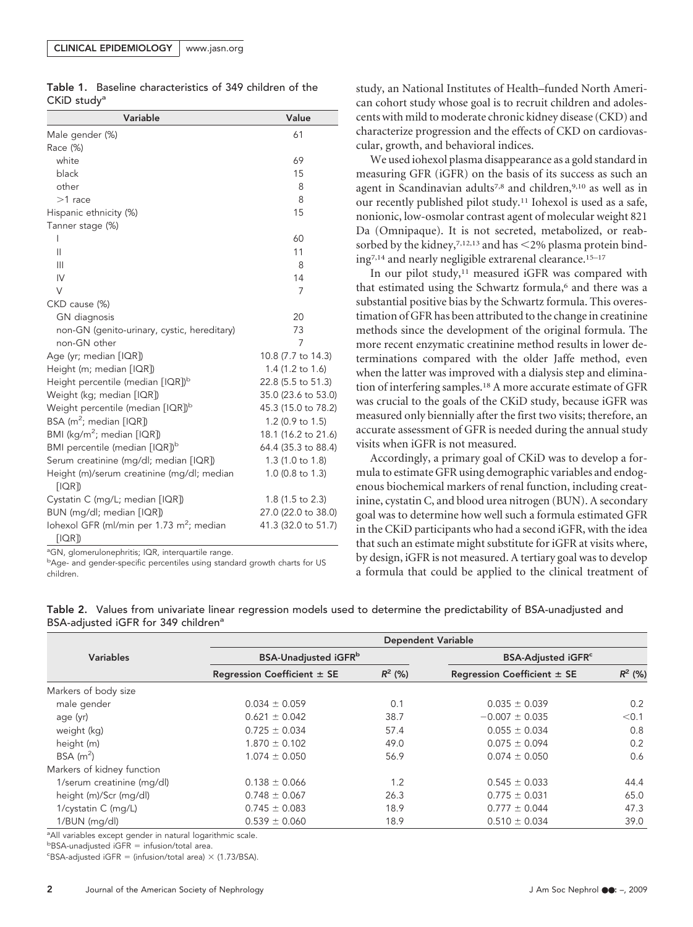|                         | Table 1. Baseline characteristics of 349 children of the |  |  |
|-------------------------|----------------------------------------------------------|--|--|
| CKiD study <sup>a</sup> |                                                          |  |  |

| Variable                                                      | Value               |
|---------------------------------------------------------------|---------------------|
| Male gender (%)                                               | 61                  |
| Race (%)                                                      |                     |
| white                                                         | 69                  |
| black                                                         | 15                  |
| other                                                         | 8                   |
| $>1$ race                                                     | 8                   |
| Hispanic ethnicity (%)                                        | 15                  |
| Tanner stage (%)                                              |                     |
| I                                                             | 60                  |
| $\mathsf{II}$                                                 | 11                  |
| $\mathbf{III}$                                                | 8                   |
| IV                                                            | 14                  |
| V                                                             | 7                   |
| CKD cause (%)                                                 |                     |
| GN diagnosis                                                  | 20                  |
| non-GN (genito-urinary, cystic, hereditary)                   | 73                  |
| non-GN other                                                  | 7                   |
| Age (yr; median [IQR])                                        | 10.8 (7.7 to 14.3)  |
| Height (m; median [IQR])                                      | 1.4 (1.2 to 1.6)    |
| Height percentile (median [IQR]) <sup>b</sup>                 | 22.8 (5.5 to 51.3)  |
| Weight (kg; median [IQR])                                     | 35.0 (23.6 to 53.0) |
| Weight percentile (median [IQR]) <sup>b</sup>                 | 45.3 (15.0 to 78.2) |
| BSA ( $m^2$ ; median $[1QR]$ )                                | 1.2 (0.9 to 1.5)    |
| BMI (kg/m <sup>2</sup> ; median [IQR])                        | 18.1 (16.2 to 21.6) |
| BMI percentile (median [IQR]) <sup>b</sup>                    | 64.4 (35.3 to 88.4) |
| Serum creatinine (mg/dl; median [IQR])                        | 1.3 (1.0 to 1.8)    |
| Height (m)/serum creatinine (mg/dl; median<br>[IOR]           | 1.0 (0.8 to 1.3)    |
| Cystatin C (mg/L; median [IQR])                               | 1.8 (1.5 to 2.3)    |
| BUN (mg/dl; median [IQR])                                     | 27.0 (22.0 to 38.0) |
| lohexol GFR (ml/min per 1.73 m <sup>2</sup> ; median<br>[IOR] | 41.3 (32.0 to 51.7) |

<sup>a</sup>GN, glomerulonephritis; IQR, interquartile range.

**bAge- and gender-specific percentiles using standard growth charts for US** children.

study, an National Institutes of Health–funded North American cohort study whose goal is to recruit children and adolescents with mild to moderate chronic kidney disease (CKD) and characterize progression and the effects of CKD on cardiovascular, growth, and behavioral indices.

We used iohexol plasma disappearance as a gold standard in measuring GFR (iGFR) on the basis of its success as such an agent in Scandinavian adults<sup>7,8</sup> and children,<sup>9,10</sup> as well as in our recently published pilot study.11 Iohexol is used as a safe, nonionic, low-osmolar contrast agent of molecular weight 821 Da (Omnipaque). It is not secreted, metabolized, or reabsorbed by the kidney,  $7,12,13$  and has  $\leq$ 2% plasma protein binding7,14 and nearly negligible extrarenal clearance.15–17

In our pilot study,<sup>11</sup> measured iGFR was compared with that estimated using the Schwartz formula,<sup>6</sup> and there was a substantial positive bias by the Schwartz formula. This overestimation of GFR has been attributed to the change in creatinine methods since the development of the original formula. The more recent enzymatic creatinine method results in lower determinations compared with the older Jaffe method, even when the latter was improved with a dialysis step and elimination of interfering samples.18 A more accurate estimate of GFR was crucial to the goals of the CKiD study, because iGFR was measured only biennially after the first two visits; therefore, an accurate assessment of GFR is needed during the annual study visits when iGFR is not measured.

Accordingly, a primary goal of CKiD was to develop a formula to estimate GFR using demographic variables and endogenous biochemical markers of renal function, including creatinine, cystatin C, and blood urea nitrogen (BUN). A secondary goal was to determine how well such a formula estimated GFR in the CKiD participants who had a second iGFR, with the idea that such an estimate might substitute for iGFR at visits where, by design, iGFR is not measured. A tertiary goal was to develop a formula that could be applied to the clinical treatment of

|                            | <b>Dependent Variable</b>       |           |                                      |           |  |  |  |  |
|----------------------------|---------------------------------|-----------|--------------------------------------|-----------|--|--|--|--|
| <b>Variables</b>           | <b>BSA-Unadjusted iGFR</b> b    |           | <b>BSA-Adjusted iGFR<sup>c</sup></b> |           |  |  |  |  |
|                            | Regression Coefficient $\pm$ SE | $R^2$ (%) | Regression Coefficient $\pm$ SE      | $R^2$ (%) |  |  |  |  |
| Markers of body size       |                                 |           |                                      |           |  |  |  |  |
| male gender                | $0.034 \pm 0.059$               | 0.1       | $0.035 \pm 0.039$                    | 0.2       |  |  |  |  |
| age (yr)                   | $0.621 \pm 0.042$               | 38.7      | $-0.007 \pm 0.035$                   | < 0.1     |  |  |  |  |
| weight (kg)                | $0.725 \pm 0.034$               | 57.4      | $0.055 \pm 0.034$                    | 0.8       |  |  |  |  |
| height (m)                 | $1.870 \pm 0.102$               | 49.0      | $0.075 \pm 0.094$                    | 0.2       |  |  |  |  |
| BSA $(m2)$                 | $1.074 \pm 0.050$               | 56.9      | $0.074 \pm 0.050$                    | 0.6       |  |  |  |  |
| Markers of kidney function |                                 |           |                                      |           |  |  |  |  |
| 1/serum creatinine (mg/dl) | $0.138 \pm 0.066$               | 1.2       | $0.545 \pm 0.033$                    | 44.4      |  |  |  |  |
| height (m)/Scr (mg/dl)     | $0.748 \pm 0.067$               | 26.3      | $0.775 \pm 0.031$                    | 65.0      |  |  |  |  |
| 1/cystatin C (mg/L)        | $0.745 \pm 0.083$               | 18.9      | $0.777 \pm 0.044$                    | 47.3      |  |  |  |  |
| $1/BUN$ (mg/dl)            | $0.539 \pm 0.060$               | 18.9      | $0.510 \pm 0.034$                    | 39.0      |  |  |  |  |

Table 2. Values from univariate linear regression models used to determine the predictability of BSA-unadjusted and BSA-adjusted iGFR for 349 children<sup>a</sup>

<sup>a</sup> All variables except gender in natural logarithmic scale.

 $b$ BSA-unadjusted iGFR = infusion/total area.

 ${}^c$ BSA-adjusted iGFR = (infusion/total area)  $\times$  (1.73/BSA).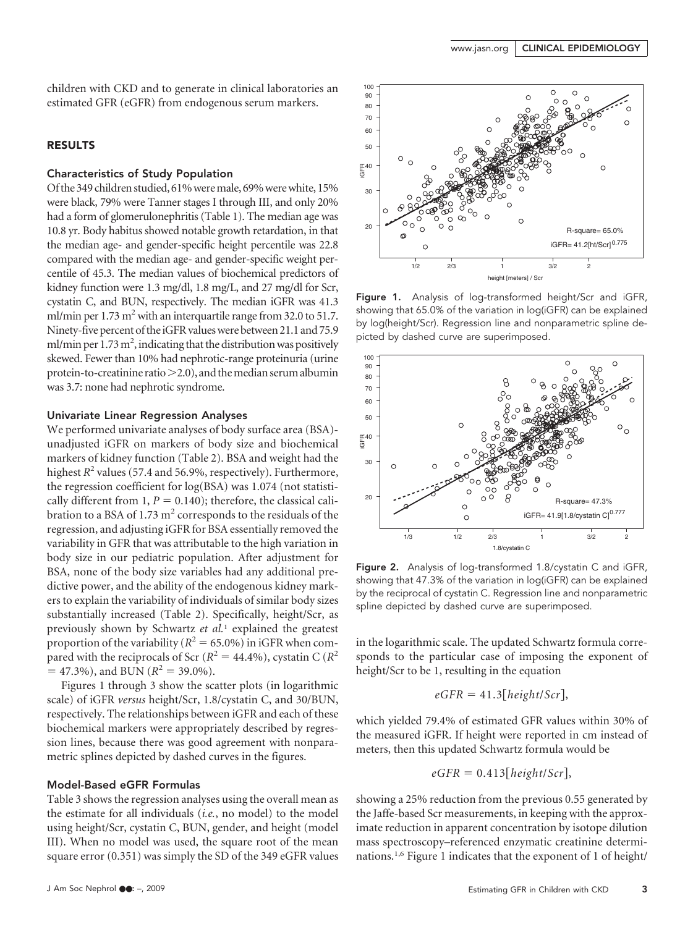children with CKD and to generate in clinical laboratories an estimated GFR (eGFR) from endogenous serum markers.

## RESULTS

## Characteristics of Study Population

Of the 349 children studied, 61% were male, 69% were white, 15% were black, 79% were Tanner stages I through III, and only 20% had a form of glomerulonephritis (Table 1). The median age was 10.8 yr. Body habitus showed notable growth retardation, in that the median age- and gender-specific height percentile was 22.8 compared with the median age- and gender-specific weight percentile of 45.3. The median values of biochemical predictors of kidney function were 1.3 mg/dl, 1.8 mg/L, and 27 mg/dl for Scr, cystatin C, and BUN, respectively. The median iGFR was 41.3 ml/min per  $1.73 \text{ m}^2$  with an interquartile range from 32.0 to 51.7. Ninety-five percent of theiGFR valueswere between 21.1 and 75.9 ml/min per 1.73 m<sup>2</sup>, indicating that the distribution was positively skewed. Fewer than 10% had nephrotic-range proteinuria (urine protein-to-creatinine ratio  $>$  2.0), and the median serum albumin was 3.7: none had nephrotic syndrome.

## Univariate Linear Regression Analyses

We performed univariate analyses of body surface area (BSA) unadjusted iGFR on markers of body size and biochemical markers of kidney function (Table 2). BSA and weight had the highest  $R^2$  values (57.4 and 56.9%, respectively). Furthermore, the regression coefficient for log(BSA) was 1.074 (not statistically different from 1,  $P = 0.140$ ; therefore, the classical calibration to a BSA of 1.73  $m<sup>2</sup>$  corresponds to the residuals of the regression, and adjusting iGFR for BSA essentially removed the variability in GFR that was attributable to the high variation in body size in our pediatric population. After adjustment for BSA, none of the body size variables had any additional predictive power, and the ability of the endogenous kidney markers to explain the variability of individuals of similar body sizes substantially increased (Table 2). Specifically, height/Scr, as previously shown by Schwartz *et al.*<sup>1</sup> explained the greatest proportion of the variability ( $R^2 = 65.0\%$ ) in iGFR when compared with the reciprocals of Scr ( $R^2 = 44.4\%$ ), cystatin C ( $R^2$  $=$  47.3%), and BUN ( $R^2$  = 39.0%).

Figures 1 through 3 show the scatter plots (in logarithmic scale) of iGFR *versus* height/Scr, 1.8/cystatin C, and 30/BUN, respectively. The relationships between iGFR and each of these biochemical markers were appropriately described by regression lines, because there was good agreement with nonparametric splines depicted by dashed curves in the figures.

#### Model-Based eGFR Formulas

Table 3 shows the regression analyses using the overall mean as the estimate for all individuals (*i.e.*, no model) to the model using height/Scr, cystatin C, BUN, gender, and height (model III). When no model was used, the square root of the mean square error (0.351) was simply the SD of the 349 eGFR values



Figure 1. Analysis of log-transformed height/Scr and iGFR, showing that 65.0% of the variation in log(iGFR) can be explained by log(height/Scr). Regression line and nonparametric spline depicted by dashed curve are superimposed.



Figure 2. Analysis of log-transformed 1.8/cystatin C and iGFR, showing that 47.3% of the variation in log(iGFR) can be explained by the reciprocal of cystatin C. Regression line and nonparametric spline depicted by dashed curve are superimposed.

in the logarithmic scale. The updated Schwartz formula corresponds to the particular case of imposing the exponent of height/Scr to be 1, resulting in the equation

$$
eGFR = 41.3[height/Scr],
$$

which yielded 79.4% of estimated GFR values within 30% of the measured iGFR. If height were reported in cm instead of meters, then this updated Schwartz formula would be

$$
eGFR = 0.413[height/Scr],
$$

showing a 25% reduction from the previous 0.55 generated by the Jaffe-based Scr measurements, in keeping with the approximate reduction in apparent concentration by isotope dilution mass spectroscopy–referenced enzymatic creatinine determinations.1,6 Figure 1 indicates that the exponent of 1 of height/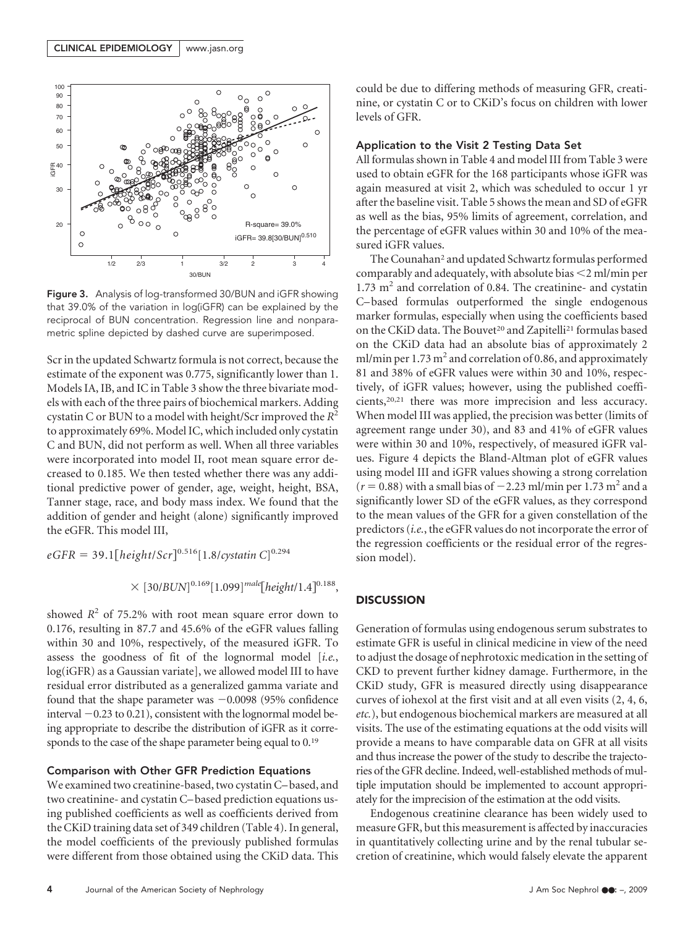

Figure 3. Analysis of log-transformed 30/BUN and iGFR showing that 39.0% of the variation in log(iGFR) can be explained by the reciprocal of BUN concentration. Regression line and nonparametric spline depicted by dashed curve are superimposed.

Scr in the updated Schwartz formula is not correct, because the estimate of the exponent was 0.775, significantly lower than 1. Models IA, IB, and IC in Table 3 show the three bivariate models with each of the three pairs of biochemical markers. Adding cystatin C or BUN to a model with height/Scr improved the *R*<sup>2</sup> to approximately 69%. Model IC, which included only cystatin C and BUN, did not perform as well. When all three variables were incorporated into model II, root mean square error decreased to 0.185. We then tested whether there was any additional predictive power of gender, age, weight, height, BSA, Tanner stage, race, and body mass index. We found that the addition of gender and height (alone) significantly improved the eGFR. This model III,

$$
eGFR = 39.1[height/Scr]^{0.516}[1.8/cystatin C]^{0.294}
$$

$$
\times [30/BUN]^{0.169}[1.099]^{male}[height/1.4]^{0.188},
$$

showed  $R^2$  of 75.2% with root mean square error down to 0.176, resulting in 87.7 and 45.6% of the eGFR values falling within 30 and 10%, respectively, of the measured iGFR. To assess the goodness of fit of the lognormal model [*i.e.*, log(iGFR) as a Gaussian variate], we allowed model III to have residual error distributed as a generalized gamma variate and found that the shape parameter was  $-0.0098$  (95% confidence interval  $-0.23$  to 0.21), consistent with the lognormal model being appropriate to describe the distribution of iGFR as it corresponds to the case of the shape parameter being equal to  $0.19$ 

#### Comparison with Other GFR Prediction Equations

We examined two creatinine-based, two cystatin C– based, and two creatinine- and cystatin C– based prediction equations using published coefficients as well as coefficients derived from the CKiD training data set of 349 children (Table 4). In general, the model coefficients of the previously published formulas were different from those obtained using the CKiD data. This could be due to differing methods of measuring GFR, creatinine, or cystatin C or to CKiD's focus on children with lower levels of GFR.

## Application to the Visit 2 Testing Data Set

All formulas shown in Table 4 and model III from Table 3 were used to obtain eGFR for the 168 participants whose iGFR was again measured at visit 2, which was scheduled to occur 1 yr after the baseline visit. Table 5 shows the mean and SD of eGFR as well as the bias, 95% limits of agreement, correlation, and the percentage of eGFR values within 30 and 10% of the measured iGFR values.

The Counahan<sup>2</sup> and updated Schwartz formulas performed comparably and adequately, with absolute bias 2 ml/min per  $1.73 \text{ m}^2$  and correlation of 0.84. The creatinine- and cystatin C– based formulas outperformed the single endogenous marker formulas, especially when using the coefficients based on the CKiD data. The Bouvet<sup>20</sup> and Zapitelli<sup>21</sup> formulas based on the CKiD data had an absolute bias of approximately 2 ml/min per  $1.73 \text{ m}^2$  and correlation of 0.86, and approximately 81 and 38% of eGFR values were within 30 and 10%, respectively, of iGFR values; however, using the published coefficients,20,21 there was more imprecision and less accuracy. When model III was applied, the precision was better (limits of agreement range under 30), and 83 and 41% of eGFR values were within 30 and 10%, respectively, of measured iGFR values. Figure 4 depicts the Bland-Altman plot of eGFR values using model III and iGFR values showing a strong correlation  $(r = 0.88)$  with a small bias of  $-2.23$  ml/min per 1.73 m<sup>2</sup> and a significantly lower SD of the eGFR values, as they correspond to the mean values of the GFR for a given constellation of the predictors (*i.e.*, the eGFR values do not incorporate the error of the regression coefficients or the residual error of the regression model).

## **DISCUSSION**

Generation of formulas using endogenous serum substrates to estimate GFR is useful in clinical medicine in view of the need to adjust the dosage of nephrotoxic medication in the setting of CKD to prevent further kidney damage. Furthermore, in the CKiD study, GFR is measured directly using disappearance curves of iohexol at the first visit and at all even visits (2, 4, 6, *etc.*), but endogenous biochemical markers are measured at all visits. The use of the estimating equations at the odd visits will provide a means to have comparable data on GFR at all visits and thus increase the power of the study to describe the trajectories of the GFR decline. Indeed, well-established methods of multiple imputation should be implemented to account appropriately for the imprecision of the estimation at the odd visits.

Endogenous creatinine clearance has been widely used to measure GFR, but this measurement is affected by inaccuracies in quantitatively collecting urine and by the renal tubular secretion of creatinine, which would falsely elevate the apparent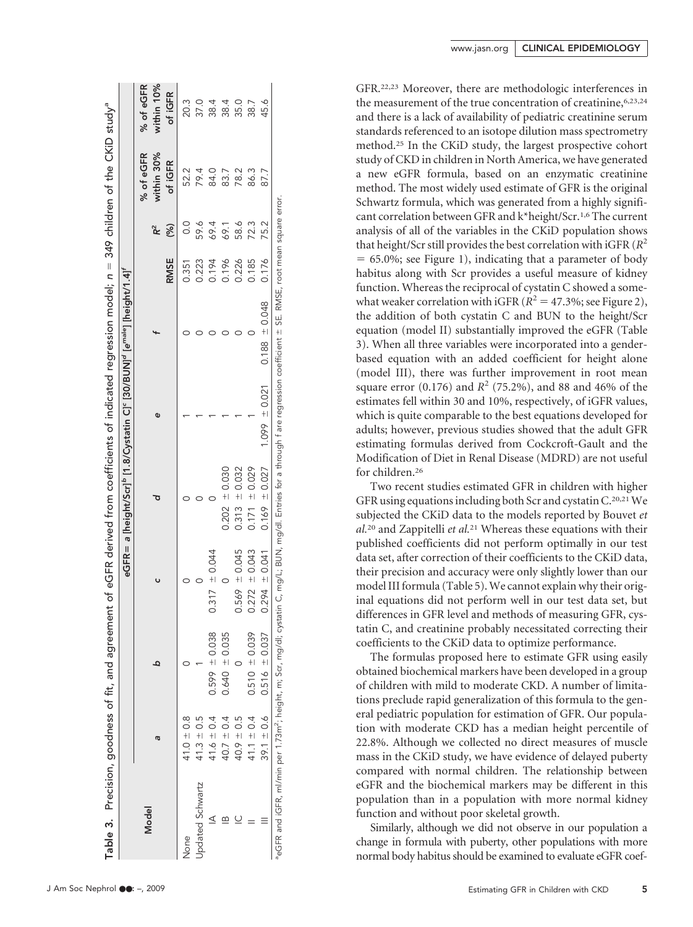|                  |                |                   |                   |                    |                   | eGFR= a [height/Scr] <sup>b</sup> [1.8/Cystatin C] <sup>c</sup> [30/BUN] <sup>d</sup> [e <sup>male</sup> ] [height/1.4]' |             |      |                         |                         |
|------------------|----------------|-------------------|-------------------|--------------------|-------------------|--------------------------------------------------------------------------------------------------------------------------|-------------|------|-------------------------|-------------------------|
| Model            | ā              | ء                 |                   |                    | ¢                 |                                                                                                                          |             |      | % of eGFR<br>within 30% | % of eGFR<br>within 10% |
|                  |                |                   |                   |                    |                   |                                                                                                                          | <b>RMSE</b> | (%)  | of iGFR                 | of iGFR                 |
| Vone             | $41.0 \pm 0.8$ |                   |                   |                    |                   |                                                                                                                          | 0.351       | O.O  | 52.2                    | 20.3                    |
| Jpdated Schwartz | $41.3 \pm 0.5$ |                   |                   |                    |                   |                                                                                                                          | 0.223       | 59.6 | 79.4                    | 37.0                    |
|                  | 41.6 $\pm$ 0.4 | $0.599 \pm 0.038$ | $0.317 \pm 0.044$ |                    |                   |                                                                                                                          | 0.194       | 69.4 | 84.0                    | 38.4                    |
|                  | $40.7 \pm 0.4$ | $0.640 \pm 0.035$ |                   | $0.202 = 0.030$    |                   |                                                                                                                          | 0.196       | 69.1 | 83.7                    | 38.4                    |
|                  | $40.9 \pm 0.5$ |                   | $0.569 \pm 0.045$ | $= 0.032$<br>0.313 |                   |                                                                                                                          | 0.226       | 58.6 | 78.2                    | 35.0                    |
|                  | $41.1 \pm 0.4$ | $0.510 \pm 0.039$ | $0.272 \pm 0.043$ | $0.171 \pm 0.029$  |                   |                                                                                                                          | 0.185       | 723  | 86.3                    | 38.7                    |
|                  | $39.1 \pm 0.6$ | $0.516 \pm 0.037$ | $0.294 \pm 0.041$ | $0.169 \pm 0.027$  | $1.099 \pm 0.021$ | $0.188 \pm 0.048$                                                                                                        | 0.176       | 75.2 | 87.7                    | 45.6                    |

GFR.22,23 Moreover, there are methodologic interferences in the measurement of the true concentration of creatinine, 6,23,24 and there is a lack of availability of pediatric creatinine serum standards referenced to an isotope dilution mass spectrometry method.25 In the CKiD study, the largest prospective cohort study of CKD in children in North America, we have generated a new eGFR formula, based on an enzymatic creatinine method. The most widely used estimate of GFR is the original Schwartz formula, which was generated from a highly significant correlation between GFR and k\*height/Scr.1,6 The current analysis of all of the variables in the CKiD population shows that height/Scr still provides the best correlation with iGFR ( *R* 2  $= 65.0\%$ ; see Figure 1), indicating that a parameter of body habitus along with Scr provides a useful measure of kidney function. Whereas the reciprocal of cystatin C showed a somewhat weaker correlation with iGFR  $(R^2 = 47.3\%$ ; see Figure 2), the addition of both cystatin C and BUN to the height/Scr equation (model II) substantially improved the eGFR (Table 3). When all three variables were incorporated into a genderbased equation with an added coefficient for height alone (model III), there was further improvement in root mean square error (0.176) and *R* <sup>2</sup> (75.2%), and 88 and 46% of the estimates fell within 30 and 10%, respectively, of iGFR values, which is quite comparable to the best equations developed for adults; however, previous studies showed that the adult GFR estimating formulas derived from Cockcroft-Gault and the Modification of Diet in Renal Disease (MDRD) are not useful for children.26

Two recent studies estimated GFR in children with higher GFR using equations including both Scr and cystatin C.<sup>20,21</sup> We subjected the CKiD data to the models reported by Bouvet *et al.*<sup>20</sup> and Zappitelli *et al.*<sup>21</sup> Whereas these equations with their published coefficients did not perform optimally in our test data set, after correction of their coefficients to the CKiD data, their precision and accuracy were only slightly lower than our model III formula (Table 5).We cannot explain why their original equations did not perform well in our test data set, but differences in GFR level and methods of measuring GFR, cystatin C, and creatinine probably necessitated correcting their coefficients to the CKiD data to optimize performance.

The formulas proposed here to estimate GFR using easily obtained biochemical markers have been developed in a group of children with mild to moderate CKD. A number of limitations preclude rapid generalization of this formula to the general pediatric population for estimation of GFR. Our population with moderate CKD has a median height percentile of 22.8%. Although we collected no direct measures of muscle mass in the CKiD study, we have evidence of delayed puberty compared with normal children. The relationship between eGFR and the biochemical markers may be different in this population than in a population with more normal kidney function and without poor skeletal growth.

Similarly, although we did not observe in our population a change in formula with puberty, other populations with more normal body habitus should be examined to evaluate eGFR coef-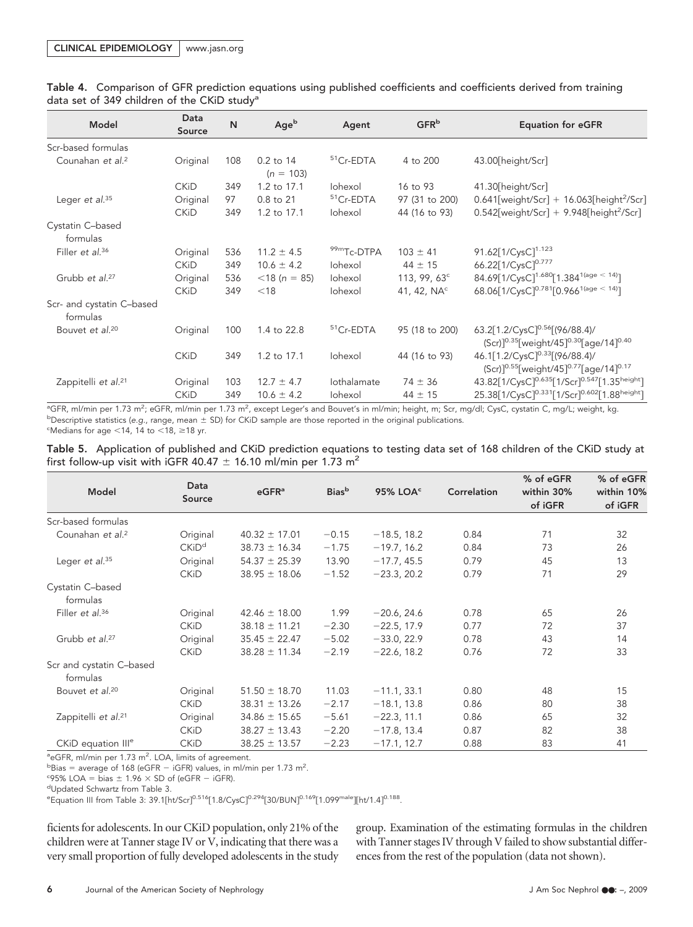| Model                                 | Data<br>Source | N   | Ageb                     | Agent          | GFR <sup>b</sup>      | <b>Equation for eGFR</b>                                                                                                  |
|---------------------------------------|----------------|-----|--------------------------|----------------|-----------------------|---------------------------------------------------------------------------------------------------------------------------|
| Scr-based formulas                    |                |     |                          |                |                       |                                                                                                                           |
| Counahan et al. <sup>2</sup>          | Original       | 108 | 0.2 to 14<br>$(n = 103)$ | $51$ Cr-EDTA   | 4 to 200              | 43.00[height/Scr]                                                                                                         |
|                                       | <b>CKiD</b>    | 349 | 1.2 to 17.1              | Iohexol        | 16 to 93              | 41.30[height/Scr]                                                                                                         |
| Leger et $al.^{35}$                   | Original       | 97  | 0.8 to 21                | $51$ Cr-EDTA   | 97 (31 to 200)        | $0.641[weight/Scr] + 16.063[height^{2}/Scr]$                                                                              |
|                                       | <b>CKiD</b>    | 349 | 1.2 to 17.1              | Iohexol        | 44 (16 to 93)         | $0.542$ [weight/Scr] + 9.948[height <sup>2</sup> /Scr]                                                                    |
| Cystatin C-based                      |                |     |                          |                |                       |                                                                                                                           |
| formulas                              |                |     |                          |                |                       |                                                                                                                           |
| Filler et al. <sup>36</sup>           | Original       | 536 | $11.2 \pm 4.5$           | $99m$ Tc-DTPA  | $103 \pm 41$          | 91.62[1/CysC] <sup>1.123</sup>                                                                                            |
|                                       | <b>CKiD</b>    | 349 | $10.6 \pm 4.2$           | Iohexol        | $44 \pm 15$           | 66.22 [1/ CysC ] <sup>0.777</sup>                                                                                         |
| Grubb et al. <sup>27</sup>            | Original       | 536 | $<$ 18 (n = 85)          | <b>lohexol</b> | 113, 99, $63^{\circ}$ | 84.69 $[1/C$ ysC $]$ <sup>1.680</sup> $[1.384$ <sup>1(age &lt; 14)</sup> ]                                                |
|                                       | <b>CKiD</b>    | 349 | $<$ 18                   | Iohexol        | 41, 42, $NAc$         | 68.06 $[1/C$ ysC $]^{0.781}$ $[0.966$ <sup>1(age &lt; 14)</sup> $]$                                                       |
| Scr- and cystatin C-based<br>formulas |                |     |                          |                |                       |                                                                                                                           |
| Bouvet et al. <sup>20</sup>           | Original       | 100 | 1.4 to 22.8              | $51$ Cr-EDTA   | 95 (18 to 200)        | 63.2[1.2/CysC] <sup>0.56</sup> [(96/88.4)/<br>(Scr)] <sup>0.35</sup> [weight/45] <sup>0.30</sup> [age/14] <sup>0.40</sup> |
|                                       | <b>CKiD</b>    | 349 | 1.2 to 17.1              | Iohexol        | 44 (16 to 93)         | 46.1[1.2/CysC] <sup>0.33</sup> [(96/88.4)/<br>(Scr)] <sup>0.55</sup> [weight/45] <sup>0.77</sup> [age/14] <sup>0.17</sup> |
| Zappitelli et al. <sup>21</sup>       | Original       | 103 | $12.7 \pm 4.7$           | lothalamate    | $74 \pm 36$           | 43.82[1/CysC] <sup>0.635</sup> [1/Scr] <sup>0.547</sup> [1.35height]                                                      |
|                                       | <b>CKiD</b>    | 349 | $10.6 \pm 4.2$           | lohexol        | $44 \pm 15$           | 25.38 [1/CvsC] <sup>0.331</sup> [1/Scr] <sup>0.602</sup> [1.88 <sup>height</sup> ]                                        |

Table 4. Comparison of GFR prediction equations using published coefficients and coefficients derived from training data set of 349 children of the CKiD study<sup>a</sup>

ªGFR, ml/min per 1.73 m<sup>2</sup>; eGFR, ml/min per 1.73 m<sup>2</sup>, except Leger's and Bouvet's in ml/min; height, m; Scr, mg/dl; CysC, cystatin C, mg/L; weight, kg. b Descriptive statistics (*e.g.*, range, mean SD) for CKiD sample are those reported in the original publications.  $\textdegree$ Medians for age <14, 14 to <18,  $\geq$ 18 yr.

Table 5. Application of published and CKiD prediction equations to testing data set of 168 children of the CKiD study at first follow-up visit with iGFR 40.47  $\pm$  16.10 ml/min per 1.73 m<sup>2</sup>

| <b>Model</b>                    | Data<br>Source    | $e$ GFR <sup>a</sup> | <b>Bias</b> b | 95% LOA <sup>c</sup> | Correlation | % of eGFR<br>within 30%<br>of iGFR | % of eGFR<br>within 10%<br>of iGFR |
|---------------------------------|-------------------|----------------------|---------------|----------------------|-------------|------------------------------------|------------------------------------|
| Scr-based formulas              |                   |                      |               |                      |             |                                    |                                    |
| Counahan et al. <sup>2</sup>    | Original          | $40.32 \pm 17.01$    | $-0.15$       | $-18.5, 18.2$        | 0.84        | 71                                 | 32                                 |
|                                 | CKiD <sup>d</sup> | $38.73 \pm 16.34$    | $-1.75$       | $-19.7, 16.2$        | 0.84        | 73                                 | 26                                 |
| Leger et al. <sup>35</sup>      | Original          | $54.37 \pm 25.39$    | 13.90         | $-17.7, 45.5$        | 0.79        | 45                                 | 13                                 |
|                                 | <b>CKiD</b>       | $38.95 \pm 18.06$    | $-1.52$       | $-23.3, 20.2$        | 0.79        | 71                                 | 29                                 |
| Cystatin C-based<br>formulas    |                   |                      |               |                      |             |                                    |                                    |
| Filler et al. <sup>36</sup>     | Original          | $42.46 \pm 18.00$    | 1.99          | $-20.6, 24.6$        | 0.78        | 65                                 | 26                                 |
|                                 | <b>CKiD</b>       | $38.18 \pm 11.21$    | $-2.30$       | $-22.5, 17.9$        | 0.77        | 72                                 | 37                                 |
| Grubb et al. <sup>27</sup>      | Original          | $35.45 \pm 22.47$    | $-5.02$       | $-33.0, 22.9$        | 0.78        | 43                                 | 14                                 |
|                                 | <b>CKiD</b>       | $38.28 \pm 11.34$    | $-2.19$       | $-22.6, 18.2$        | 0.76        | 72                                 | 33                                 |
| Scr and cystatin C-based        |                   |                      |               |                      |             |                                    |                                    |
| formulas                        |                   |                      |               |                      |             |                                    |                                    |
| Bouvet et al. <sup>20</sup>     | Original          | $51.50 \pm 18.70$    | 11.03         | $-11.1, 33.1$        | 0.80        | 48                                 | 15                                 |
|                                 | <b>CKiD</b>       | $38.31 \pm 13.26$    | $-2.17$       | $-18.1, 13.8$        | 0.86        | 80                                 | 38                                 |
| Zappitelli et al. <sup>21</sup> | Original          | $34.86 \pm 15.65$    | $-5.61$       | $-22.3, 11.1$        | 0.86        | 65                                 | 32                                 |
|                                 | <b>CKiD</b>       | $38.27 \pm 13.43$    | $-2.20$       | $-17.8, 13.4$        | 0.87        | 82                                 | 38                                 |
| CKiD equation III <sup>e</sup>  | <b>CKiD</b>       | $38.25 \pm 13.57$    | $-2.23$       | $-17.1, 12.7$        | 0.88        | 83                                 | 41                                 |

<sup>a</sup>eGFR, ml/min per 1.73 m<sup>2</sup>. LOA, limits of agreement.

 $b$ Bias = average of 168 (eGFR – iGFR) values, in ml/min per 1.73 m<sup>2</sup>.

 $-c95\%$  LOA = bias  $\pm$  1.96  $\times$  SD of (eGFR - iGFR).

<sup>e</sup>Equation III from Table 3: 39.1[ht/Scr]<sup>0.516</sup>[1.8/CysC]<sup>0.294</sup>[30/BUN]<sup>0.169</sup>[1.099<sup>male</sup>][ht/1.4]<sup>0.188</sup>.

ficients for adolescents. In our CKiD population, only 21% of the children were at Tanner stage IV or V, indicating that there was a very small proportion of fully developed adolescents in the study group. Examination of the estimating formulas in the children with Tanner stages IV through V failed to show substantial differences from the rest of the population (data not shown).

dUpdated Schwartz from Table 3.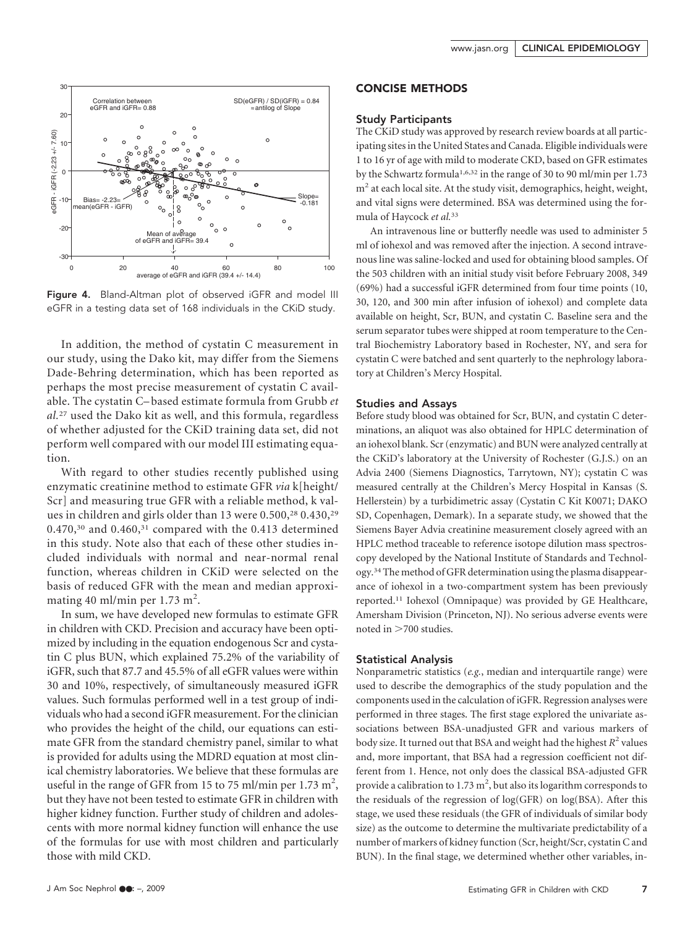

Figure 4. Bland-Altman plot of observed iGFR and model III eGFR in a testing data set of 168 individuals in the CKiD study.

In addition, the method of cystatin C measurement in our study, using the Dako kit, may differ from the Siemens Dade-Behring determination, which has been reported as perhaps the most precise measurement of cystatin C available. The cystatin C– based estimate formula from Grubb *et al.*<sup>27</sup> used the Dako kit as well, and this formula, regardless of whether adjusted for the CKiD training data set, did not perform well compared with our model III estimating equation.

With regard to other studies recently published using enzymatic creatinine method to estimate GFR *via* k[height/ Scr] and measuring true GFR with a reliable method, k values in children and girls older than 13 were 0.500,<sup>28</sup> 0.430,<sup>29</sup>  $0.470$ ,<sup>30</sup> and  $0.460$ ,<sup>31</sup> compared with the 0.413 determined in this study. Note also that each of these other studies included individuals with normal and near-normal renal function, whereas children in CKiD were selected on the basis of reduced GFR with the mean and median approximating 40 ml/min per 1.73 m<sup>2</sup>.

In sum, we have developed new formulas to estimate GFR in children with CKD. Precision and accuracy have been optimized by including in the equation endogenous Scr and cystatin C plus BUN, which explained 75.2% of the variability of iGFR, such that 87.7 and 45.5% of all eGFR values were within 30 and 10%, respectively, of simultaneously measured iGFR values. Such formulas performed well in a test group of individuals who had a second iGFR measurement. For the clinician who provides the height of the child, our equations can estimate GFR from the standard chemistry panel, similar to what is provided for adults using the MDRD equation at most clinical chemistry laboratories. We believe that these formulas are useful in the range of GFR from 15 to 75 ml/min per 1.73 m<sup>2</sup>, but they have not been tested to estimate GFR in children with higher kidney function. Further study of children and adolescents with more normal kidney function will enhance the use of the formulas for use with most children and particularly those with mild CKD.

## CONCISE METHODS

#### Study Participants

The CKiD study was approved by research review boards at all participating sites in the United States and Canada. Eligible individuals were 1 to 16 yr of age with mild to moderate CKD, based on GFR estimates by the Schwartz formula1,6,32 in the range of 30 to 90 ml/min per 1.73  $m<sup>2</sup>$  at each local site. At the study visit, demographics, height, weight, and vital signs were determined. BSA was determined using the formula of Haycock *et al.*<sup>33</sup>

An intravenous line or butterfly needle was used to administer 5 ml of iohexol and was removed after the injection. A second intravenous line was saline-locked and used for obtaining blood samples. Of the 503 children with an initial study visit before February 2008, 349 (69%) had a successful iGFR determined from four time points (10, 30, 120, and 300 min after infusion of iohexol) and complete data available on height, Scr, BUN, and cystatin C. Baseline sera and the serum separator tubes were shipped at room temperature to the Central Biochemistry Laboratory based in Rochester, NY, and sera for cystatin C were batched and sent quarterly to the nephrology laboratory at Children's Mercy Hospital.

#### Studies and Assays

Before study blood was obtained for Scr, BUN, and cystatin C determinations, an aliquot was also obtained for HPLC determination of an iohexol blank. Scr (enzymatic) and BUN were analyzed centrally at the CKiD's laboratory at the University of Rochester (G.J.S.) on an Advia 2400 (Siemens Diagnostics, Tarrytown, NY); cystatin C was measured centrally at the Children's Mercy Hospital in Kansas (S. Hellerstein) by a turbidimetric assay (Cystatin C Kit K0071; DAKO SD, Copenhagen, Demark). In a separate study, we showed that the Siemens Bayer Advia creatinine measurement closely agreed with an HPLC method traceable to reference isotope dilution mass spectroscopy developed by the National Institute of Standards and Technology.34The method of GFR determination using the plasma disappearance of iohexol in a two-compartment system has been previously reported.11 Iohexol (Omnipaque) was provided by GE Healthcare, Amersham Division (Princeton, NJ). No serious adverse events were noted in  $>700$  studies.

#### Statistical Analysis

Nonparametric statistics (*e.g.*, median and interquartile range) were used to describe the demographics of the study population and the components used in the calculation of iGFR. Regression analyses were performed in three stages. The first stage explored the univariate associations between BSA-unadjusted GFR and various markers of body size. It turned out that BSA and weight had the highest *R*<sup>2</sup> values and, more important, that BSA had a regression coefficient not different from 1. Hence, not only does the classical BSA-adjusted GFR provide a calibration to  $1.73 \text{ m}^2$ , but also its logarithm corresponds to the residuals of the regression of log(GFR) on log(BSA). After this stage, we used these residuals (the GFR of individuals of similar body size) as the outcome to determine the multivariate predictability of a number of markers of kidney function (Scr, height/Scr, cystatin C and BUN). In the final stage, we determined whether other variables, in-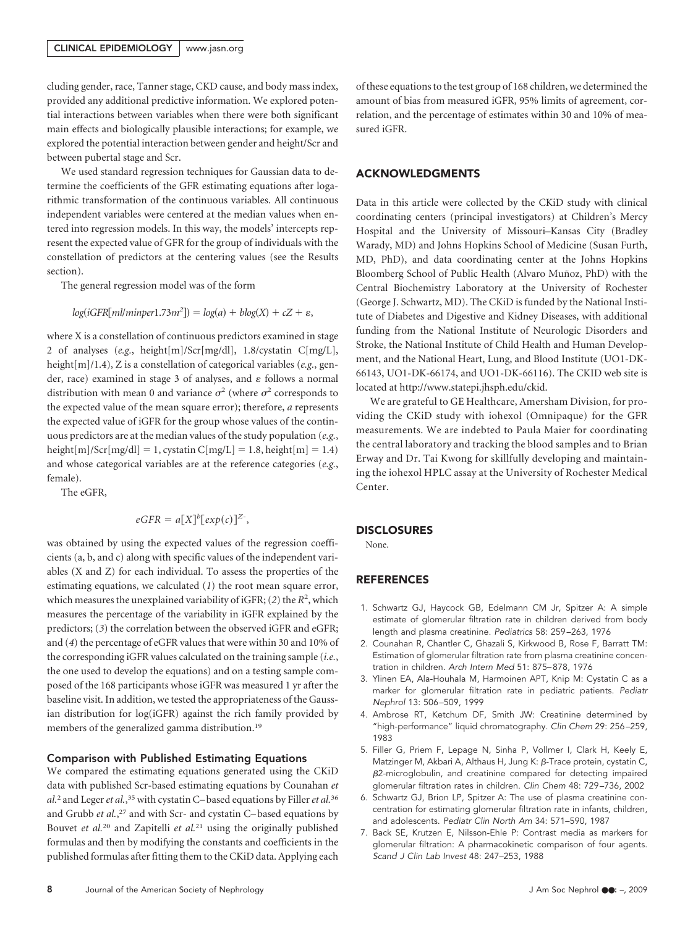#### CLINICAL EPIDEMIOLOGY | www.jasn.org

cluding gender, race, Tanner stage, CKD cause, and body mass index, provided any additional predictive information. We explored potential interactions between variables when there were both significant main effects and biologically plausible interactions; for example, we explored the potential interaction between gender and height/Scr and between pubertal stage and Scr.

We used standard regression techniques for Gaussian data to determine the coefficients of the GFR estimating equations after logarithmic transformation of the continuous variables. All continuous independent variables were centered at the median values when entered into regression models. In this way, the models' intercepts represent the expected value of GFR for the group of individuals with the constellation of predictors at the centering values (see the Results section).

The general regression model was of the form

$$
log(iGFR[ml/minper1.73m^2]) = log(a) + blog(X) + cZ + \varepsilon,
$$

where X is a constellation of continuous predictors examined in stage 2 of analyses (*e.g.*, height[m]/Scr[mg/dl], 1.8/cystatin C[mg/L], height[m]/1.4), Z is a constellation of categorical variables (*e.g.*, gender, race) examined in stage 3 of analyses, and  $\varepsilon$  follows a normal distribution with mean 0 and variance  $\sigma^2$  (where  $\sigma^2$  corresponds to the expected value of the mean square error); therefore, *a* represents the expected value of iGFR for the group whose values of the continuous predictors are at the median values of the study population (*e.g.*, height $[m]/\text{Scr}[mg/d]] = 1$ , cystatin  $C[mg/L] = 1.8$ , height $[m] = 1.4$ ) and whose categorical variables are at the reference categories (*e.g.*, female).

The eGFR,

$$
eGFR = a[X]^b[exp(c)]^{Z^-},
$$

was obtained by using the expected values of the regression coefficients (a, b, and c) along with specific values of the independent variables (X and Z) for each individual. To assess the properties of the estimating equations, we calculated (*1*) the root mean square error, which measures the unexplained variability of  $iGFR$ ; (2) the  $R<sup>2</sup>$ , which measures the percentage of the variability in iGFR explained by the predictors; (*3*) the correlation between the observed iGFR and eGFR; and (*4*) the percentage of eGFR values that were within 30 and 10% of the corresponding iGFR values calculated on the training sample (*i.e.*, the one used to develop the equations) and on a testing sample composed of the 168 participants whose iGFR was measured 1 yr after the baseline visit. In addition, we tested the appropriateness of the Gaussian distribution for log(iGFR) against the rich family provided by members of the generalized gamma distribution.<sup>19</sup>

#### Comparison with Published Estimating Equations

We compared the estimating equations generated using the CKiD data with published Scr-based estimating equations by Counahan *et* al.<sup>2</sup> and Leger et al.,<sup>35</sup> with cystatin C-based equations by Filler et al.<sup>36</sup> and Grubb *et al.*, <sup>27</sup> and with Scr- and cystatin C– based equations by Bouvet *et al.*<sup>20</sup> and Zapitelli *et al.*<sup>21</sup> using the originally published formulas and then by modifying the constants and coefficients in the published formulas after fitting them to the CKiD data. Applying each of these equations to the test group of 168 children, we determined the amount of bias from measured iGFR, 95% limits of agreement, correlation, and the percentage of estimates within 30 and 10% of measured iGFR.

#### ACKNOWLEDGMENTS

Data in this article were collected by the CKiD study with clinical coordinating centers (principal investigators) at Children's Mercy Hospital and the University of Missouri–Kansas City (Bradley Warady, MD) and Johns Hopkins School of Medicine (Susan Furth, MD, PhD), and data coordinating center at the Johns Hopkins Bloomberg School of Public Health (Alvaro Muñoz, PhD) with the Central Biochemistry Laboratory at the University of Rochester (George J. Schwartz, MD). The CKiD is funded by the National Institute of Diabetes and Digestive and Kidney Diseases, with additional funding from the National Institute of Neurologic Disorders and Stroke, the National Institute of Child Health and Human Development, and the National Heart, Lung, and Blood Institute (UO1-DK-66143, UO1-DK-66174, and UO1-DK-66116). The CKID web site is located at http://www.statepi.jhsph.edu/ckid.

We are grateful to GE Healthcare, Amersham Division, for providing the CKiD study with iohexol (Omnipaque) for the GFR measurements. We are indebted to Paula Maier for coordinating the central laboratory and tracking the blood samples and to Brian Erway and Dr. Tai Kwong for skillfully developing and maintaining the iohexol HPLC assay at the University of Rochester Medical Center.

#### **DISCLOSURES**

None.

## **REFERENCES**

- 1. Schwartz GJ, Haycock GB, Edelmann CM Jr, Spitzer A: A simple estimate of glomerular filtration rate in children derived from body length and plasma creatinine. *Pediatrics* 58: 259 –263, 1976
- 2. Counahan R, Chantler C, Ghazali S, Kirkwood B, Rose F, Barratt TM: Estimation of glomerular filtration rate from plasma creatinine concentration in children. *Arch Intern Med* 51: 875– 878, 1976
- 3. Ylinen EA, Ala-Houhala M, Harmoinen APT, Knip M: Cystatin C as a marker for glomerular filtration rate in pediatric patients. *Pediatr Nephrol* 13: 506 –509, 1999
- 4. Ambrose RT, Ketchum DF, Smith JW: Creatinine determined by "high-performance" liquid chromatography. *Clin Chem* 29: 256 –259, 1983
- 5. Filler G, Priem F, Lepage N, Sinha P, Vollmer I, Clark H, Keely E, Matzinger M, Akbari A, Althaus H, Jung K:  $\beta$ -Trace protein, cystatin C,  $\beta$ 2-microglobulin, and creatinine compared for detecting impaired glomerular filtration rates in children. *Clin Chem* 48: 729 –736, 2002
- 6. Schwartz GJ, Brion LP, Spitzer A: The use of plasma creatinine concentration for estimating glomerular filtration rate in infants, children, and adolescents. *Pediatr Clin North Am* 34: 571–590, 1987
- 7. Back SE, Krutzen E, Nilsson-Ehle P: Contrast media as markers for glomerular filtration: A pharmacokinetic comparison of four agents. *Scand J Clin Lab Invest* 48: 247–253, 1988